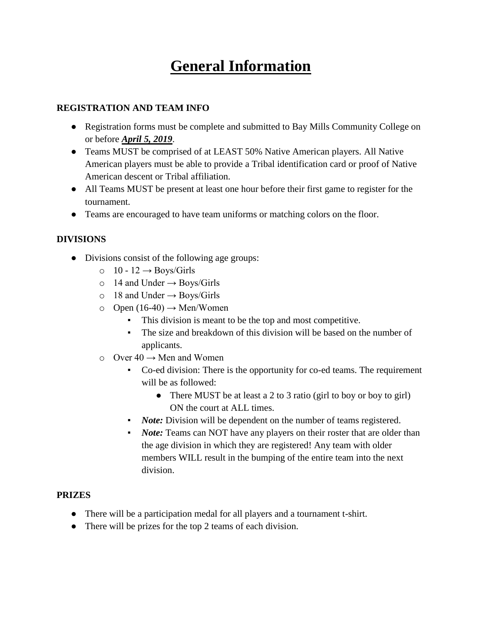# **General Information**

#### **REGISTRATION AND TEAM INFO**

- Registration forms must be complete and submitted to Bay Mills Community College on or before *April 5, 2019*.
- Teams MUST be comprised of at LEAST 50% Native American players. All Native American players must be able to provide a Tribal identification card or proof of Native American descent or Tribal affiliation.
- All Teams MUST be present at least one hour before their first game to register for the tournament.
- Teams are encouraged to have team uniforms or matching colors on the floor.

# **DIVISIONS**

- Divisions consist of the following age groups:
	- $\circ$  10 12  $\rightarrow$  Boys/Girls
	- $\circ$  14 and Under  $\rightarrow$  Boys/Girls
	- $\circ$  18 and Under  $\rightarrow$  Boys/Girls
	- $\circ$  Open (16-40)  $\rightarrow$  Men/Women
		- This division is meant to be the top and most competitive.
		- The size and breakdown of this division will be based on the number of applicants.
	- $\circ$  Over 40  $\rightarrow$  Men and Women
		- Co-ed division: There is the opportunity for co-ed teams. The requirement will be as followed:
			- There MUST be at least a 2 to 3 ratio (girl to boy or boy to girl) ON the court at ALL times.
		- *Note:* Division will be dependent on the number of teams registered.
		- *Note:* Teams can NOT have any players on their roster that are older than the age division in which they are registered! Any team with older members WILL result in the bumping of the entire team into the next division.

## **PRIZES**

- There will be a participation medal for all players and a tournament t-shirt.
- There will be prizes for the top 2 teams of each division.